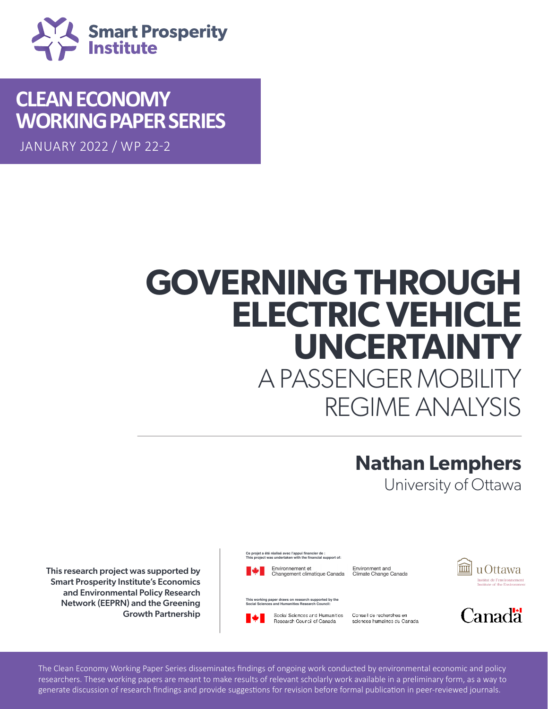

## **CLEAN ECONOMY WORKING PAPER SERIES**

JANUARY 2022 / WP 22-2

# **GOVERNING THROUGH ELECTRIC VEHICLE UNCERTAINTY** A PASSENGER MOBILIT REGIME ANALYSIS

## **Nathan Lemphers**

University of Ottawa

This working paper of the Specify Historical Policy Research<br>
Networking paper draws on research supported by Smart Project Washing Control of the Working paper draws on research support Network (EEPRN) and the Greening and the state of the search support draws on research support Council on the State of the State of the State of the State of the State of the State of the State of the State of Council Scie Growth Partnership<br>Network (Supplement Partnership This research project was supported by  $\begin{array}{cc} \bullet & \bullet \\ \bullet & \bullet \end{array}$  Environmement et Changement climatique C. **Smart Prosperity Institute's Economics** 

researchers. These working papers are meant to make results of relevant scholarly work available in a preliminary form, as a way to

Ce projet a été réalisé avec l'appui financier de :<br>This project was undertaken with the financial support of:



Environment and Climate Change Canada m u Ottawa Institut de l'environnement<br>Institute of the Environmen

**This working paper draws on research supported by the Social Sciences and Humanities Research Council:**





The Clean Economy Working Paper Series disseminates findings of ongoing work conducted by environmental economic and policy researchers. These working papers are meant to make results of relevant scholarly work available in a preliminary form, as a way to generate discussion of research findings and provide suggestions for revision before formal publication in peer-reviewed journals.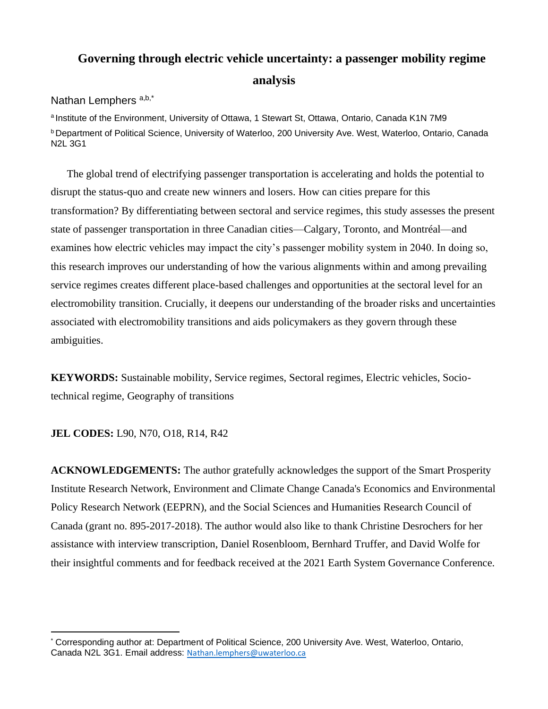### **Governing through electric vehicle uncertainty: a passenger mobility regime analysis**

#### Nathan Lemphers a,b,\*

<sup>a</sup> Institute of the Environment, University of Ottawa, 1 Stewart St, Ottawa, Ontario, Canada K1N 7M9 **b** Department of Political Science, University of Waterloo, 200 University Ave. West, Waterloo, Ontario, Canada N2L 3G1

The global trend of electrifying passenger transportation is accelerating and holds the potential to disrupt the status-quo and create new winners and losers. How can cities prepare for this transformation? By differentiating between sectoral and service regimes, this study assesses the present state of passenger transportation in three Canadian cities—Calgary, Toronto, and Montréal—and examines how electric vehicles may impact the city's passenger mobility system in 2040. In doing so, this research improves our understanding of how the various alignments within and among prevailing service regimes creates different place-based challenges and opportunities at the sectoral level for an electromobility transition. Crucially, it deepens our understanding of the broader risks and uncertainties associated with electromobility transitions and aids policymakers as they govern through these ambiguities.

**KEYWORDS:** Sustainable mobility, Service regimes, Sectoral regimes, Electric vehicles, Sociotechnical regime, Geography of transitions

#### **JEL CODES:** L90, N70, O18, R14, R42

**ACKNOWLEDGEMENTS:** The author gratefully acknowledges the support of the Smart Prosperity Institute Research Network, Environment and Climate Change Canada's Economics and Environmental Policy Research Network (EEPRN), and the Social Sciences and Humanities Research Council of Canada (grant no. 895-2017-2018). The author would also like to thank Christine Desrochers for her assistance with interview transcription, Daniel Rosenbloom, Bernhard Truffer, and David Wolfe for their insightful comments and for feedback received at the 2021 Earth System Governance Conference.

Corresponding author at: Department of Political Science, 200 University Ave. West, Waterloo, Ontario, Canada N2L 3G1. Email address: [Nathan.lemphers@uwaterloo.ca](mailto:Nathan.lemphers@uwaterloo.ca)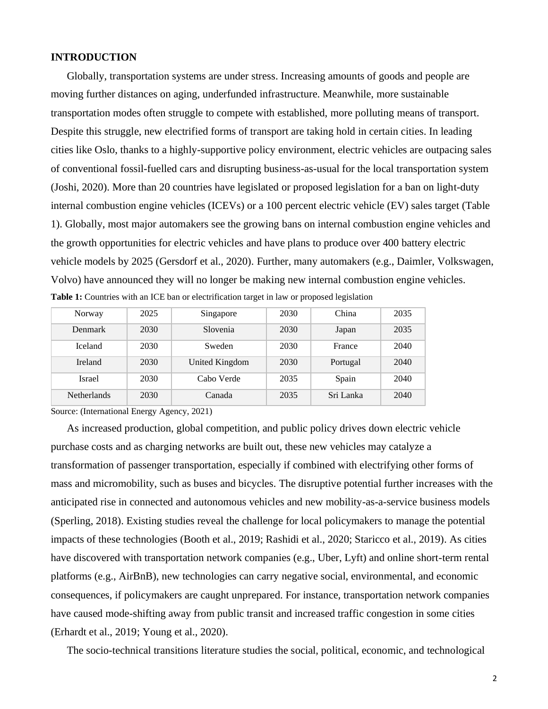#### **INTRODUCTION**

Globally, transportation systems are under stress. Increasing amounts of goods and people are moving further distances on aging, underfunded infrastructure. Meanwhile, more sustainable transportation modes often struggle to compete with established, more polluting means of transport. Despite this struggle, new electrified forms of transport are taking hold in certain cities. In leading cities like Oslo, thanks to a highly-supportive policy environment, electric vehicles are outpacing sales of conventional fossil-fuelled cars and disrupting business-as-usual for the local transportation system (Joshi, 2020). More than 20 countries have legislated or proposed legislation for a ban on light-duty internal combustion engine vehicles (ICEVs) or a 100 percent electric vehicle (EV) sales target (Table 1). Globally, most major automakers see the growing bans on internal combustion engine vehicles and the growth opportunities for electric vehicles and have plans to produce over 400 battery electric vehicle models by 2025 (Gersdorf et al., 2020). Further, many automakers (e.g., Daimler, Volkswagen, Volvo) have announced they will no longer be making new internal combustion engine vehicles. **Table 1:** Countries with an ICE ban or electrification target in law or proposed legislation

| Norway             | 2025 | Singapore      | 2030 | China     | 2035 |
|--------------------|------|----------------|------|-----------|------|
| Denmark            | 2030 | Slovenia       | 2030 | Japan     | 2035 |
| <b>Iceland</b>     | 2030 | Sweden         | 2030 | France    | 2040 |
| <b>Ireland</b>     | 2030 | United Kingdom | 2030 | Portugal  | 2040 |
| Israel             | 2030 | Cabo Verde     | 2035 | Spain     | 2040 |
| <b>Netherlands</b> | 2030 | Canada         | 2035 | Sri Lanka | 2040 |

Source: (International Energy Agency, 2021)

As increased production, global competition, and public policy drives down electric vehicle purchase costs and as charging networks are built out, these new vehicles may catalyze a transformation of passenger transportation, especially if combined with electrifying other forms of mass and micromobility, such as buses and bicycles. The disruptive potential further increases with the anticipated rise in connected and autonomous vehicles and new mobility-as-a-service business models (Sperling, 2018). Existing studies reveal the challenge for local policymakers to manage the potential impacts of these technologies (Booth et al., 2019; Rashidi et al., 2020; Staricco et al., 2019). As cities have discovered with transportation network companies (e.g., Uber, Lyft) and online short-term rental platforms (e.g., AirBnB), new technologies can carry negative social, environmental, and economic consequences, if policymakers are caught unprepared. For instance, transportation network companies have caused mode-shifting away from public transit and increased traffic congestion in some cities (Erhardt et al., 2019; Young et al., 2020).

The socio-technical transitions literature studies the social, political, economic, and technological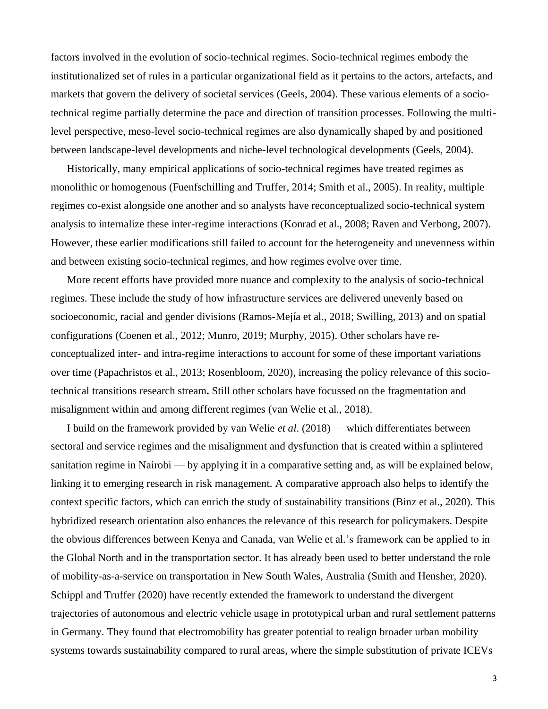factors involved in the evolution of socio-technical regimes. Socio-technical regimes embody the institutionalized set of rules in a particular organizational field as it pertains to the actors, artefacts, and markets that govern the delivery of societal services (Geels, 2004). These various elements of a sociotechnical regime partially determine the pace and direction of transition processes. Following the multilevel perspective, meso-level socio-technical regimes are also dynamically shaped by and positioned between landscape-level developments and niche-level technological developments (Geels, 2004).

Historically, many empirical applications of socio-technical regimes have treated regimes as monolithic or homogenous (Fuenfschilling and Truffer, 2014; Smith et al., 2005). In reality, multiple regimes co-exist alongside one another and so analysts have reconceptualized socio-technical system analysis to internalize these inter-regime interactions (Konrad et al., 2008; Raven and Verbong, 2007). However, these earlier modifications still failed to account for the heterogeneity and unevenness within and between existing socio-technical regimes, and how regimes evolve over time.

More recent efforts have provided more nuance and complexity to the analysis of socio-technical regimes. These include the study of how infrastructure services are delivered unevenly based on socioeconomic, racial and gender divisions (Ramos-Mejía et al., 2018; Swilling, 2013) and on spatial configurations (Coenen et al., 2012; Munro, 2019; Murphy, 2015). Other scholars have reconceptualized inter- and intra-regime interactions to account for some of these important variations over time (Papachristos et al., 2013; Rosenbloom, 2020), increasing the policy relevance of this sociotechnical transitions research stream**.** Still other scholars have focussed on the fragmentation and misalignment within and among different regimes (van Welie et al., 2018).

I build on the framework provided by van Welie *et al*. (2018) — which differentiates between sectoral and service regimes and the misalignment and dysfunction that is created within a splintered sanitation regime in Nairobi — by applying it in a comparative setting and, as will be explained below, linking it to emerging research in risk management. A comparative approach also helps to identify the context specific factors, which can enrich the study of sustainability transitions (Binz et al., 2020). This hybridized research orientation also enhances the relevance of this research for policymakers. Despite the obvious differences between Kenya and Canada, van Welie et al.'s framework can be applied to in the Global North and in the transportation sector. It has already been used to better understand the role of mobility-as-a-service on transportation in New South Wales, Australia (Smith and Hensher, 2020). Schippl and Truffer (2020) have recently extended the framework to understand the divergent trajectories of autonomous and electric vehicle usage in prototypical urban and rural settlement patterns in Germany. They found that electromobility has greater potential to realign broader urban mobility systems towards sustainability compared to rural areas, where the simple substitution of private ICEVs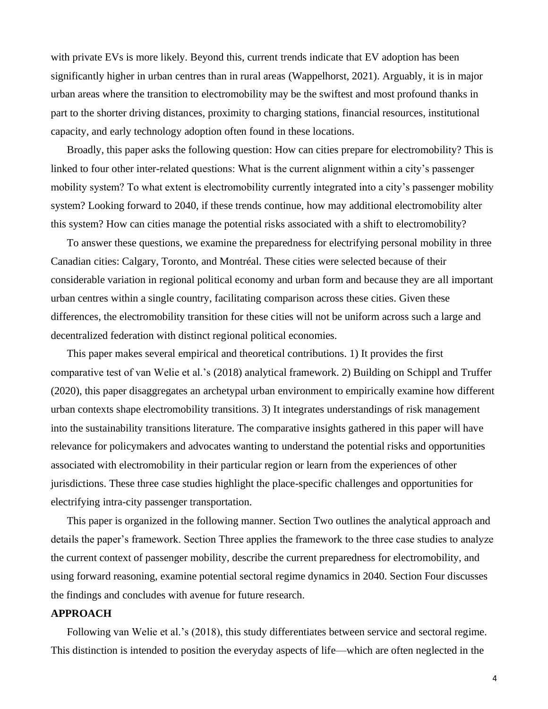with private EVs is more likely. Beyond this, current trends indicate that EV adoption has been significantly higher in urban centres than in rural areas (Wappelhorst, 2021). Arguably, it is in major urban areas where the transition to electromobility may be the swiftest and most profound thanks in part to the shorter driving distances, proximity to charging stations, financial resources, institutional capacity, and early technology adoption often found in these locations.

Broadly, this paper asks the following question: How can cities prepare for electromobility? This is linked to four other inter-related questions: What is the current alignment within a city's passenger mobility system? To what extent is electromobility currently integrated into a city's passenger mobility system? Looking forward to 2040, if these trends continue, how may additional electromobility alter this system? How can cities manage the potential risks associated with a shift to electromobility?

To answer these questions, we examine the preparedness for electrifying personal mobility in three Canadian cities: Calgary, Toronto, and Montréal. These cities were selected because of their considerable variation in regional political economy and urban form and because they are all important urban centres within a single country, facilitating comparison across these cities. Given these differences, the electromobility transition for these cities will not be uniform across such a large and decentralized federation with distinct regional political economies.

This paper makes several empirical and theoretical contributions. 1) It provides the first comparative test of van Welie et al.'s (2018) analytical framework. 2) Building on Schippl and Truffer (2020), this paper disaggregates an archetypal urban environment to empirically examine how different urban contexts shape electromobility transitions. 3) It integrates understandings of risk management into the sustainability transitions literature. The comparative insights gathered in this paper will have relevance for policymakers and advocates wanting to understand the potential risks and opportunities associated with electromobility in their particular region or learn from the experiences of other jurisdictions. These three case studies highlight the place-specific challenges and opportunities for electrifying intra-city passenger transportation.

This paper is organized in the following manner. Section Two outlines the analytical approach and details the paper's framework. Section Three applies the framework to the three case studies to analyze the current context of passenger mobility, describe the current preparedness for electromobility, and using forward reasoning, examine potential sectoral regime dynamics in 2040. Section Four discusses the findings and concludes with avenue for future research.

#### **APPROACH**

Following van Welie et al.'s (2018), this study differentiates between service and sectoral regime. This distinction is intended to position the everyday aspects of life—which are often neglected in the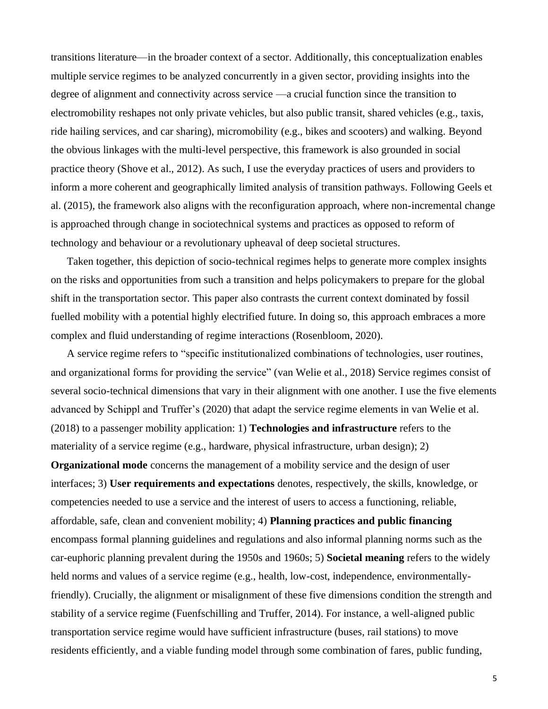transitions literature—in the broader context of a sector. Additionally, this conceptualization enables multiple service regimes to be analyzed concurrently in a given sector, providing insights into the degree of alignment and connectivity across service —a crucial function since the transition to electromobility reshapes not only private vehicles, but also public transit, shared vehicles (e.g., taxis, ride hailing services, and car sharing), micromobility (e.g., bikes and scooters) and walking. Beyond the obvious linkages with the multi-level perspective, this framework is also grounded in social practice theory (Shove et al., 2012). As such, I use the everyday practices of users and providers to inform a more coherent and geographically limited analysis of transition pathways. Following Geels et al. (2015), the framework also aligns with the reconfiguration approach, where non-incremental change is approached through change in sociotechnical systems and practices as opposed to reform of technology and behaviour or a revolutionary upheaval of deep societal structures.

Taken together, this depiction of socio-technical regimes helps to generate more complex insights on the risks and opportunities from such a transition and helps policymakers to prepare for the global shift in the transportation sector. This paper also contrasts the current context dominated by fossil fuelled mobility with a potential highly electrified future. In doing so, this approach embraces a more complex and fluid understanding of regime interactions (Rosenbloom, 2020).

A service regime refers to "specific institutionalized combinations of technologies, user routines, and organizational forms for providing the service" (van Welie et al., 2018) Service regimes consist of several socio-technical dimensions that vary in their alignment with one another. I use the five elements advanced by Schippl and Truffer's (2020) that adapt the service regime elements in van Welie et al. (2018) to a passenger mobility application: 1) **Technologies and infrastructure** refers to the materiality of a service regime (e.g., hardware, physical infrastructure, urban design); 2) **Organizational mode** concerns the management of a mobility service and the design of user interfaces; 3) **User requirements and expectations** denotes, respectively, the skills, knowledge, or competencies needed to use a service and the interest of users to access a functioning, reliable, affordable, safe, clean and convenient mobility; 4) **Planning practices and public financing** encompass formal planning guidelines and regulations and also informal planning norms such as the car-euphoric planning prevalent during the 1950s and 1960s; 5) **Societal meaning** refers to the widely held norms and values of a service regime (e.g., health, low-cost, independence, environmentallyfriendly). Crucially, the alignment or misalignment of these five dimensions condition the strength and stability of a service regime (Fuenfschilling and Truffer, 2014). For instance, a well-aligned public transportation service regime would have sufficient infrastructure (buses, rail stations) to move residents efficiently, and a viable funding model through some combination of fares, public funding,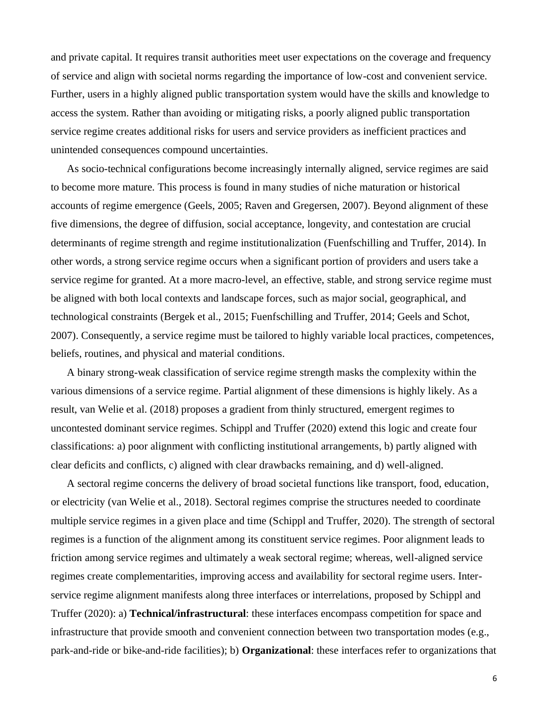and private capital. It requires transit authorities meet user expectations on the coverage and frequency of service and align with societal norms regarding the importance of low-cost and convenient service. Further, users in a highly aligned public transportation system would have the skills and knowledge to access the system. Rather than avoiding or mitigating risks, a poorly aligned public transportation service regime creates additional risks for users and service providers as inefficient practices and unintended consequences compound uncertainties.

As socio-technical configurations become increasingly internally aligned, service regimes are said to become more mature. This process is found in many studies of niche maturation or historical accounts of regime emergence (Geels, 2005; Raven and Gregersen, 2007). Beyond alignment of these five dimensions, the degree of diffusion, social acceptance, longevity, and contestation are crucial determinants of regime strength and regime institutionalization (Fuenfschilling and Truffer, 2014). In other words, a strong service regime occurs when a significant portion of providers and users take a service regime for granted. At a more macro-level, an effective, stable, and strong service regime must be aligned with both local contexts and landscape forces, such as major social, geographical, and technological constraints (Bergek et al., 2015; Fuenfschilling and Truffer, 2014; Geels and Schot, 2007). Consequently, a service regime must be tailored to highly variable local practices, competences, beliefs, routines, and physical and material conditions.

A binary strong-weak classification of service regime strength masks the complexity within the various dimensions of a service regime. Partial alignment of these dimensions is highly likely. As a result, van Welie et al. (2018) proposes a gradient from thinly structured, emergent regimes to uncontested dominant service regimes. Schippl and Truffer (2020) extend this logic and create four classifications: a) poor alignment with conflicting institutional arrangements, b) partly aligned with clear deficits and conflicts, c) aligned with clear drawbacks remaining, and d) well-aligned.

A sectoral regime concerns the delivery of broad societal functions like transport, food, education, or electricity (van Welie et al., 2018). Sectoral regimes comprise the structures needed to coordinate multiple service regimes in a given place and time (Schippl and Truffer, 2020). The strength of sectoral regimes is a function of the alignment among its constituent service regimes. Poor alignment leads to friction among service regimes and ultimately a weak sectoral regime; whereas, well-aligned service regimes create complementarities, improving access and availability for sectoral regime users. Interservice regime alignment manifests along three interfaces or interrelations, proposed by Schippl and Truffer (2020): a) **Technical/infrastructural**: these interfaces encompass competition for space and infrastructure that provide smooth and convenient connection between two transportation modes (e.g., park-and-ride or bike-and-ride facilities); b) **Organizational**: these interfaces refer to organizations that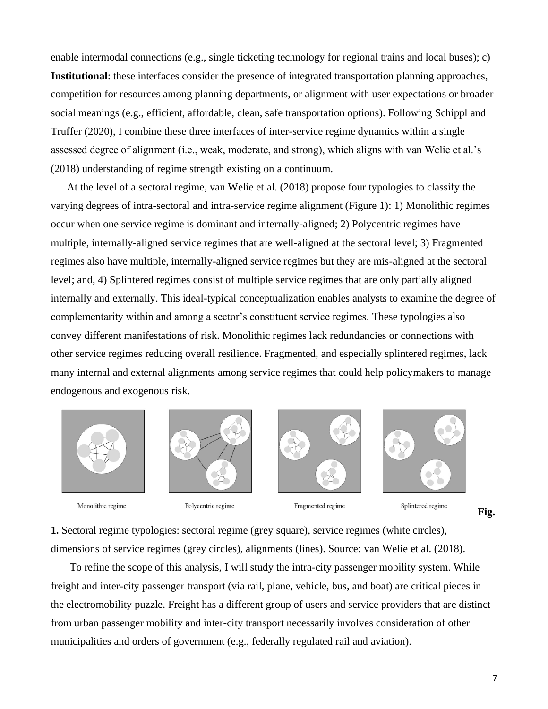enable intermodal connections (e.g., single ticketing technology for regional trains and local buses); c) **Institutional**: these interfaces consider the presence of integrated transportation planning approaches, competition for resources among planning departments, or alignment with user expectations or broader social meanings (e.g., efficient, affordable, clean, safe transportation options). Following Schippl and Truffer (2020), I combine these three interfaces of inter-service regime dynamics within a single assessed degree of alignment (i.e., weak, moderate, and strong), which aligns with van Welie et al.'s (2018) understanding of regime strength existing on a continuum.

At the level of a sectoral regime, van Welie et al. (2018) propose four typologies to classify the varying degrees of intra-sectoral and intra-service regime alignment (Figure 1): 1) Monolithic regimes occur when one service regime is dominant and internally-aligned; 2) Polycentric regimes have multiple, internally-aligned service regimes that are well-aligned at the sectoral level; 3) Fragmented regimes also have multiple, internally-aligned service regimes but they are mis-aligned at the sectoral level; and, 4) Splintered regimes consist of multiple service regimes that are only partially aligned internally and externally. This ideal-typical conceptualization enables analysts to examine the degree of complementarity within and among a sector's constituent service regimes. These typologies also convey different manifestations of risk. Monolithic regimes lack redundancies or connections with other service regimes reducing overall resilience. Fragmented, and especially splintered regimes, lack many internal and external alignments among service regimes that could help policymakers to manage endogenous and exogenous risk.



Monolithic regime



Polycentric regime



Fragmented regime



**Fig.** 

**1.** Sectoral regime typologies: sectoral regime (grey square), service regimes (white circles), dimensions of service regimes (grey circles), alignments (lines). Source: van Welie et al. (2018).

To refine the scope of this analysis, I will study the intra-city passenger mobility system. While freight and inter-city passenger transport (via rail, plane, vehicle, bus, and boat) are critical pieces in the electromobility puzzle. Freight has a different group of users and service providers that are distinct from urban passenger mobility and inter-city transport necessarily involves consideration of other municipalities and orders of government (e.g., federally regulated rail and aviation).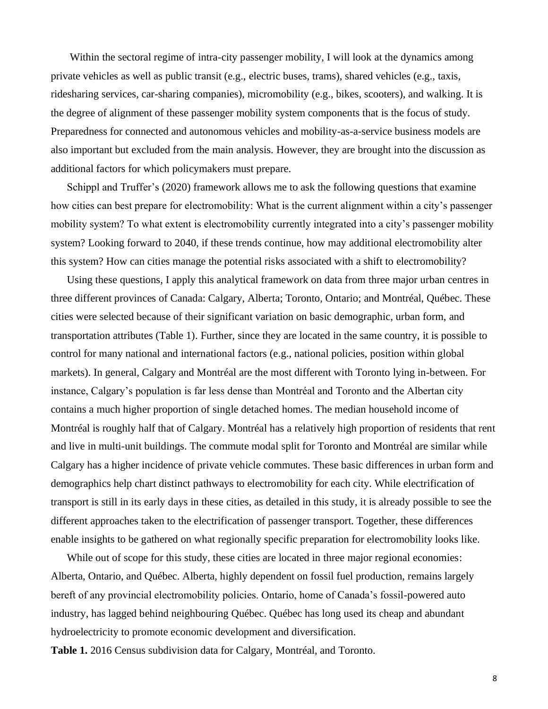Within the sectoral regime of intra-city passenger mobility, I will look at the dynamics among private vehicles as well as public transit (e.g., electric buses, trams), shared vehicles (e.g., taxis, ridesharing services, car-sharing companies), micromobility (e.g., bikes, scooters), and walking. It is the degree of alignment of these passenger mobility system components that is the focus of study. Preparedness for connected and autonomous vehicles and mobility-as-a-service business models are also important but excluded from the main analysis. However, they are brought into the discussion as additional factors for which policymakers must prepare.

Schippl and Truffer's (2020) framework allows me to ask the following questions that examine how cities can best prepare for electromobility: What is the current alignment within a city's passenger mobility system? To what extent is electromobility currently integrated into a city's passenger mobility system? Looking forward to 2040, if these trends continue, how may additional electromobility alter this system? How can cities manage the potential risks associated with a shift to electromobility?

Using these questions, I apply this analytical framework on data from three major urban centres in three different provinces of Canada: Calgary, Alberta; Toronto, Ontario; and Montréal, Québec. These cities were selected because of their significant variation on basic demographic, urban form, and transportation attributes (Table 1). Further, since they are located in the same country, it is possible to control for many national and international factors (e.g., national policies, position within global markets). In general, Calgary and Montréal are the most different with Toronto lying in-between. For instance, Calgary's population is far less dense than Montréal and Toronto and the Albertan city contains a much higher proportion of single detached homes. The median household income of Montréal is roughly half that of Calgary. Montréal has a relatively high proportion of residents that rent and live in multi-unit buildings. The commute modal split for Toronto and Montréal are similar while Calgary has a higher incidence of private vehicle commutes. These basic differences in urban form and demographics help chart distinct pathways to electromobility for each city. While electrification of transport is still in its early days in these cities, as detailed in this study, it is already possible to see the different approaches taken to the electrification of passenger transport. Together, these differences enable insights to be gathered on what regionally specific preparation for electromobility looks like.

While out of scope for this study, these cities are located in three major regional economies: Alberta, Ontario, and Québec. Alberta, highly dependent on fossil fuel production, remains largely bereft of any provincial electromobility policies. Ontario, home of Canada's fossil-powered auto industry, has lagged behind neighbouring Québec. Québec has long used its cheap and abundant hydroelectricity to promote economic development and diversification. **Table 1.** 2016 Census subdivision data for Calgary, Montréal, and Toronto.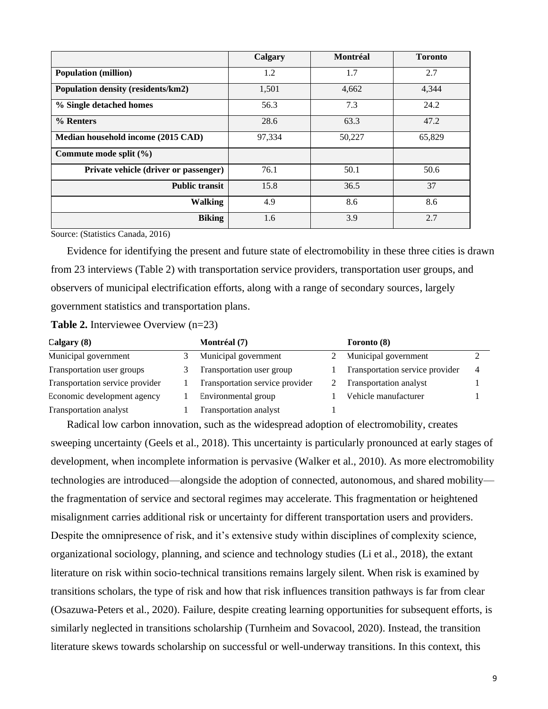|                                       | Calgary | <b>Montréal</b> | <b>Toronto</b> |
|---------------------------------------|---------|-----------------|----------------|
| <b>Population (million)</b>           | 1.2     | 1.7             | 2.7            |
| Population density (residents/km2)    | 1,501   | 4,662           | 4,344          |
| % Single detached homes               | 56.3    | 7.3             | 24.2           |
| % Renters                             | 28.6    | 63.3            | 47.2           |
| Median household income (2015 CAD)    | 97,334  | 50,227          | 65,829         |
| Commute mode split $(\% )$            |         |                 |                |
| Private vehicle (driver or passenger) | 76.1    | 50.1            | 50.6           |
| <b>Public transit</b>                 | 15.8    | 36.5            | 37             |
| <b>Walking</b>                        | 4.9     | 8.6             | 8.6            |
| <b>Biking</b>                         | 1.6     | 3.9             | 2.7            |

Source: (Statistics Canada, 2016)

Evidence for identifying the present and future state of electromobility in these three cities is drawn from 23 interviews (Table 2) with transportation service providers, transportation user groups, and observers of municipal electrification efforts, along with a range of secondary sources, largely government statistics and transportation plans.

**Table 2.** Interviewee Overview (n=23)

| Calgary $(8)$                   | Montréal (7)                    | <b>Toronto</b> (8)              |                |
|---------------------------------|---------------------------------|---------------------------------|----------------|
| Municipal government            | Municipal government            | Municipal government            |                |
| Transportation user groups      | Transportation user group       | Transportation service provider | $\overline{4}$ |
| Transportation service provider | Transportation service provider | <b>Transportation analyst</b>   |                |
| Economic development agency     | Environmental group             | Vehicle manufacturer            |                |
| <b>Transportation analyst</b>   | Transportation analyst          |                                 |                |

Radical low carbon innovation, such as the widespread adoption of electromobility, creates sweeping uncertainty (Geels et al., 2018). This uncertainty is particularly pronounced at early stages of development, when incomplete information is pervasive (Walker et al., 2010). As more electromobility technologies are introduced—alongside the adoption of connected, autonomous, and shared mobility the fragmentation of service and sectoral regimes may accelerate. This fragmentation or heightened misalignment carries additional risk or uncertainty for different transportation users and providers. Despite the omnipresence of risk, and it's extensive study within disciplines of complexity science, organizational sociology, planning, and science and technology studies (Li et al., 2018), the extant literature on risk within socio-technical transitions remains largely silent. When risk is examined by transitions scholars, the type of risk and how that risk influences transition pathways is far from clear (Osazuwa-Peters et al., 2020). Failure, despite creating learning opportunities for subsequent efforts, is similarly neglected in transitions scholarship (Turnheim and Sovacool, 2020). Instead, the transition literature skews towards scholarship on successful or well-underway transitions. In this context, this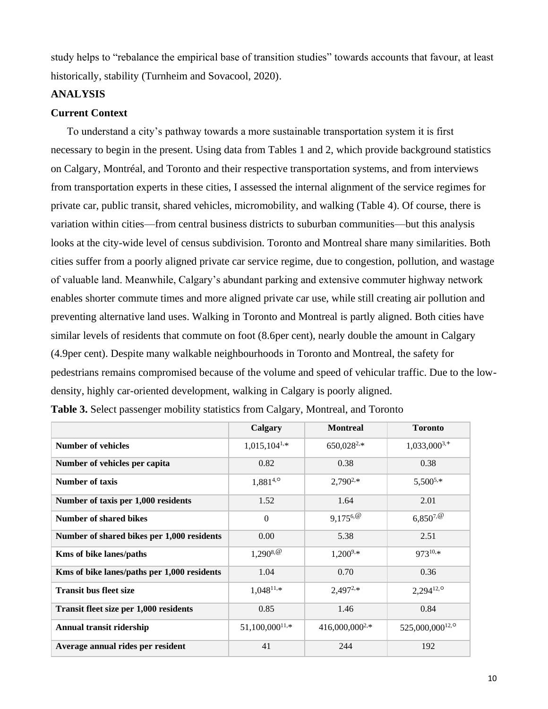study helps to "rebalance the empirical base of transition studies" towards accounts that favour, at least historically, stability (Turnheim and Sovacool, 2020).

#### **ANALYSIS**

#### **Current Context**

To understand a city's pathway towards a more sustainable transportation system it is first necessary to begin in the present. Using data from Tables 1 and 2, which provide background statistics on Calgary, Montréal, and Toronto and their respective transportation systems, and from interviews from transportation experts in these cities, I assessed the internal alignment of the service regimes for private car, public transit, shared vehicles, micromobility, and walking (Table 4). Of course, there is variation within cities—from central business districts to suburban communities—but this analysis looks at the city-wide level of census subdivision. Toronto and Montreal share many similarities. Both cities suffer from a poorly aligned private car service regime, due to congestion, pollution, and wastage of valuable land. Meanwhile, Calgary's abundant parking and extensive commuter highway network enables shorter commute times and more aligned private car use, while still creating air pollution and preventing alternative land uses. Walking in Toronto and Montreal is partly aligned. Both cities have similar levels of residents that commute on foot (8.6per cent), nearly double the amount in Calgary (4.9per cent). Despite many walkable neighbourhoods in Toronto and Montreal, the safety for pedestrians remains compromised because of the volume and speed of vehicular traffic. Due to the lowdensity, highly car-oriented development, walking in Calgary is poorly aligned.

|                                             | Calgary                      | <b>Montreal</b>     | <b>Toronto</b>              |
|---------------------------------------------|------------------------------|---------------------|-----------------------------|
| <b>Number of vehicles</b>                   | $1,015,104^{1,*}$            | $650,028^{2,*}$     | $1,033,000^{3,+}$           |
| Number of vehicles per capita               | 0.82                         | 0.38                | 0.38                        |
| Number of taxis                             | $1,881^{4,0}$                | $2,790^{2,*}$       | $5,500^{5,*}$               |
| Number of taxis per 1,000 residents         | 1.52                         | 1.64                | 2.01                        |
| <b>Number of shared bikes</b>               | $\Omega$                     | $9,175^{6,@}$       | $6,850^{7,@}$               |
| Number of shared bikes per 1,000 residents  | 0.00                         | 5.38                | 2.51                        |
| <b>Kms of bike lanes/paths</b>              | $1,290^{8,@}$                | $1,200^{9,*}$       | 97310,*                     |
| Kms of bike lanes/paths per 1,000 residents | 1.04                         | 0.70                | 0.36                        |
| <b>Transit bus fleet size</b>               | $1.048^{11,*}$               | $2,497^{2,*}$       | $2,294^{12,0}$              |
| Transit fleet size per 1,000 residents      | 0.85                         | 1.46                | 0.84                        |
| Annual transit ridership                    | $51,100,000$ <sup>11,*</sup> | $416,000,000^{2,*}$ | 525,000,000 <sup>12,0</sup> |
| Average annual rides per resident           | 41                           | 244                 | 192                         |

**Table 3.** Select passenger mobility statistics from Calgary, Montreal, and Toronto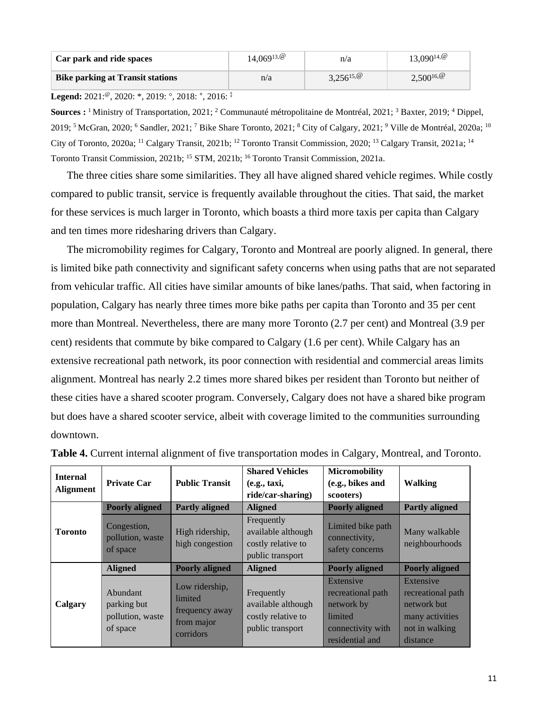| Car park and ride spaces                | $14,069^{13,@}$ | n/a            | $13,090^{14,0}$ |
|-----------------------------------------|-----------------|----------------|-----------------|
| <b>Bike parking at Transit stations</b> | n/a             | $3,256^{15,@}$ | $2,500^{16}$    |

**Legend:** 2021:<sup>@</sup>, 2020: \*, 2019: °, 2018: <sup>+</sup>, 2016: <sup>‡</sup>

**Sources :** <sup>1</sup> Ministry of Transportation, 2021; <sup>2</sup> Communauté métropolitaine de Montréal, 2021; <sup>3</sup> Baxter, 2019; <sup>4</sup> Dippel, 2019; <sup>5</sup> McGran, 2020; <sup>6</sup> Sandler, 2021; <sup>7</sup> Bike Share Toronto, 2021; <sup>8</sup> City of Calgary, 2021; <sup>9</sup> Ville de Montréal, 2020a; <sup>10</sup> City of Toronto, 2020a; <sup>11</sup> Calgary Transit, 2021b; <sup>12</sup> Toronto Transit Commission, 2020; <sup>13</sup> Calgary Transit, 2021a; <sup>14</sup> Toronto Transit Commission, 2021b; <sup>15</sup> STM, 2021b; <sup>16</sup> Toronto Transit Commission, 2021a.

The three cities share some similarities. They all have aligned shared vehicle regimes. While costly compared to public transit, service is frequently available throughout the cities. That said, the market for these services is much larger in Toronto, which boasts a third more taxis per capita than Calgary and ten times more ridesharing drivers than Calgary.

The micromobility regimes for Calgary, Toronto and Montreal are poorly aligned. In general, there is limited bike path connectivity and significant safety concerns when using paths that are not separated from vehicular traffic. All cities have similar amounts of bike lanes/paths. That said, when factoring in population, Calgary has nearly three times more bike paths per capita than Toronto and 35 per cent more than Montreal. Nevertheless, there are many more Toronto (2.7 per cent) and Montreal (3.9 per cent) residents that commute by bike compared to Calgary (1.6 per cent). While Calgary has an extensive recreational path network, its poor connection with residential and commercial areas limits alignment. Montreal has nearly 2.2 times more shared bikes per resident than Toronto but neither of these cities have a shared scooter program. Conversely, Calgary does not have a shared bike program but does have a shared scooter service, albeit with coverage limited to the communities surrounding downtown.

| <b>Internal</b><br><b>Alignment</b> | <b>Private Car</b>                                      | <b>Public Transit</b>                                                  | <b>Shared Vehicles</b><br>(e.g., taxi,<br>ride/car-sharing)                | <b>Micromobility</b><br>(e.g., bikes and<br>scooters)                                           | <b>Walking</b>                                                                                 |
|-------------------------------------|---------------------------------------------------------|------------------------------------------------------------------------|----------------------------------------------------------------------------|-------------------------------------------------------------------------------------------------|------------------------------------------------------------------------------------------------|
|                                     | <b>Poorly aligned</b>                                   | <b>Partly aligned</b>                                                  | <b>Aligned</b>                                                             | <b>Poorly aligned</b>                                                                           | <b>Partly aligned</b>                                                                          |
| <b>Toronto</b>                      | Congestion,<br>pollution, waste<br>of space             | High ridership,<br>high congestion                                     | Frequently<br>available although<br>costly relative to<br>public transport | Limited bike path<br>connectivity,<br>safety concerns                                           | Many walkable<br>neighbourhoods                                                                |
|                                     | <b>Aligned</b>                                          | <b>Poorly aligned</b>                                                  | <b>Aligned</b>                                                             | <b>Poorly aligned</b>                                                                           | <b>Poorly aligned</b>                                                                          |
| Calgary                             | Abundant<br>parking but<br>pollution, waste<br>of space | Low ridership,<br>limited<br>frequency away<br>from major<br>corridors | Frequently<br>available although<br>costly relative to<br>public transport | Extensive<br>recreational path<br>network by<br>limited<br>connectivity with<br>residential and | Extensive<br>recreational path<br>network but<br>many activities<br>not in walking<br>distance |

| Table 4. Current internal alignment of five transportation modes in Calgary, Montreal, and Toronto. |  |
|-----------------------------------------------------------------------------------------------------|--|
|-----------------------------------------------------------------------------------------------------|--|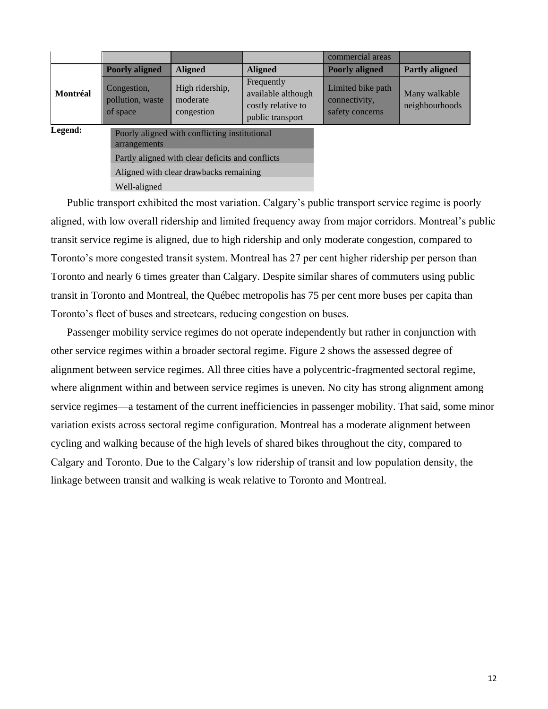|          |                                             |                                                  |                                                                            | commercial areas                                      |                                 |
|----------|---------------------------------------------|--------------------------------------------------|----------------------------------------------------------------------------|-------------------------------------------------------|---------------------------------|
|          | <b>Poorly aligned</b>                       | <b>Aligned</b>                                   | <b>Aligned</b>                                                             | <b>Poorly aligned</b>                                 | <b>Partly aligned</b>           |
| Montréal | Congestion,<br>pollution, waste<br>of space | High ridership,<br>moderate<br>congestion        | Frequently<br>available although<br>costly relative to<br>public transport | Limited bike path<br>connectivity,<br>safety concerns | Many walkable<br>neighbourhoods |
| Legend:  | arrangements                                | Poorly aligned with conflicting institutional    |                                                                            |                                                       |                                 |
|          |                                             | Partly aligned with clear deficits and conflicts |                                                                            |                                                       |                                 |
|          |                                             | Aligned with clear drawbacks remaining           |                                                                            |                                                       |                                 |
|          | Well-aligned                                |                                                  |                                                                            |                                                       |                                 |

Public transport exhibited the most variation. Calgary's public transport service regime is poorly aligned, with low overall ridership and limited frequency away from major corridors. Montreal's public transit service regime is aligned, due to high ridership and only moderate congestion, compared to Toronto's more congested transit system. Montreal has 27 per cent higher ridership per person than Toronto and nearly 6 times greater than Calgary. Despite similar shares of commuters using public transit in Toronto and Montreal, the Québec metropolis has 75 per cent more buses per capita than Toronto's fleet of buses and streetcars, reducing congestion on buses.

Passenger mobility service regimes do not operate independently but rather in conjunction with other service regimes within a broader sectoral regime. Figure 2 shows the assessed degree of alignment between service regimes. All three cities have a polycentric-fragmented sectoral regime, where alignment within and between service regimes is uneven. No city has strong alignment among service regimes—a testament of the current inefficiencies in passenger mobility. That said, some minor variation exists across sectoral regime configuration. Montreal has a moderate alignment between cycling and walking because of the high levels of shared bikes throughout the city, compared to Calgary and Toronto. Due to the Calgary's low ridership of transit and low population density, the linkage between transit and walking is weak relative to Toronto and Montreal.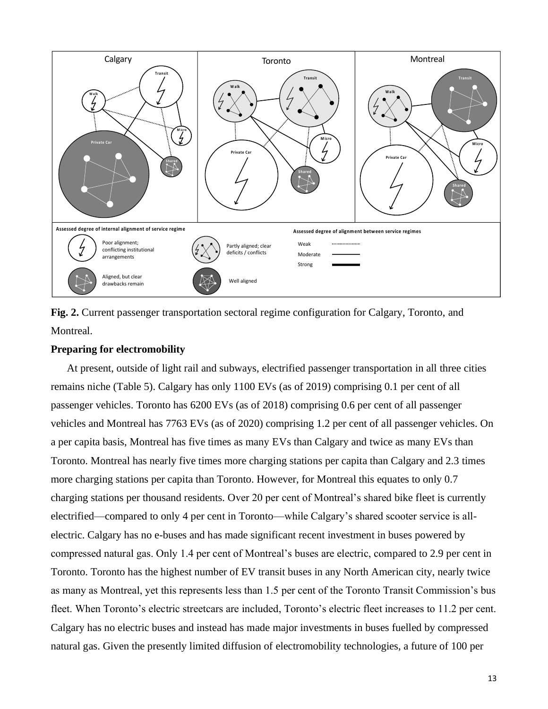

**Fig. 2.** Current passenger transportation sectoral regime configuration for Calgary, Toronto, and Montreal.

#### **Preparing for electromobility**

At present, outside of light rail and subways, electrified passenger transportation in all three cities remains niche (Table 5). Calgary has only 1100 EVs (as of 2019) comprising 0.1 per cent of all passenger vehicles. Toronto has 6200 EVs (as of 2018) comprising 0.6 per cent of all passenger vehicles and Montreal has 7763 EVs (as of 2020) comprising 1.2 per cent of all passenger vehicles. On a per capita basis, Montreal has five times as many EVs than Calgary and twice as many EVs than Toronto. Montreal has nearly five times more charging stations per capita than Calgary and 2.3 times more charging stations per capita than Toronto. However, for Montreal this equates to only 0.7 charging stations per thousand residents. Over 20 per cent of Montreal's shared bike fleet is currently electrified—compared to only 4 per cent in Toronto—while Calgary's shared scooter service is allelectric. Calgary has no e-buses and has made significant recent investment in buses powered by compressed natural gas. Only 1.4 per cent of Montreal's buses are electric, compared to 2.9 per cent in Toronto. Toronto has the highest number of EV transit buses in any North American city, nearly twice as many as Montreal, yet this represents less than 1.5 per cent of the Toronto Transit Commission's bus fleet. When Toronto's electric streetcars are included, Toronto's electric fleet increases to 11.2 per cent. Calgary has no electric buses and instead has made major investments in buses fuelled by compressed natural gas. Given the presently limited diffusion of electromobility technologies, a future of 100 per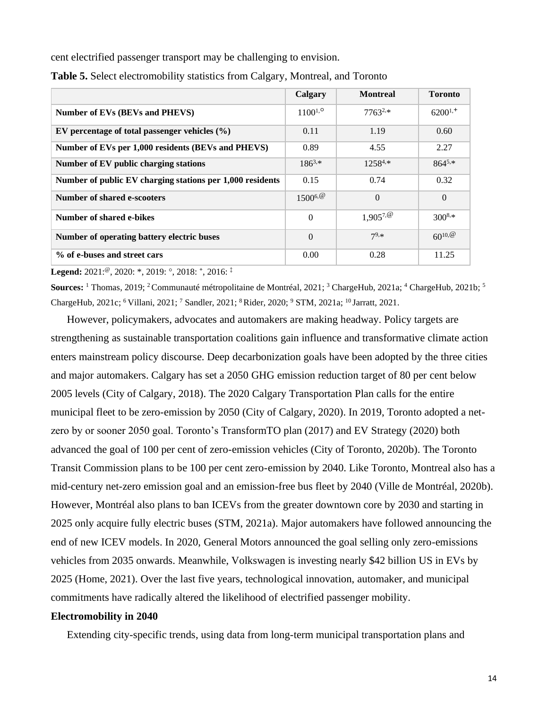cent electrified passenger transport may be challenging to envision.

|                                                           | Calgary      | <b>Montreal</b>    | <b>Toronto</b> |
|-----------------------------------------------------------|--------------|--------------------|----------------|
| Number of EVs (BEVs and PHEVS)                            | $1100^{1,0}$ | $7763^{2,*}$       | $6200^{1,+}$   |
| EV percentage of total passenger vehicles $(\% )$         | 0.11         | 1.19               | 0.60           |
| Number of EVs per 1,000 residents (BEVs and PHEVS)        | 0.89         | 4.55               | 2.27           |
| Number of EV public charging stations                     | $186^{3,*}$  | $1258^{4,*}$       | $864^{5,*}$    |
| Number of public EV charging stations per 1,000 residents | 0.15         | 0.74               | 0.32           |
| <b>Number of shared e-scooters</b>                        | $1500^{6}$   | $\Omega$           | $\Omega$       |
| Number of shared e-bikes                                  | $\theta$     | $1,905^{7,\omega}$ | $300^{8,*}$    |
| Number of operating battery electric buses                | $\Omega$     | $7^{9,*}$          | $60^{10, 60}$  |
| % of e-buses and street cars                              | 0.00         | 0.28               | 11.25          |

|  |  |  |  | Table 5. Select electromobility statistics from Calgary, Montreal, and Toronto |  |
|--|--|--|--|--------------------------------------------------------------------------------|--|
|  |  |  |  |                                                                                |  |

**Legend:** 2021:<sup>@</sup>, 2020: \*, 2019: °, 2018: <sup>+</sup>, 2016: <sup>‡</sup>

**Sources:** <sup>1</sup> Thomas, 2019; <sup>2</sup> Communauté métropolitaine de Montréal, 2021; <sup>3</sup> ChargeHub, 2021a; <sup>4</sup> ChargeHub, 2021b; <sup>5</sup> ChargeHub, 2021c; <sup>6</sup>Villani, 2021; <sup>7</sup> Sandler, 2021; <sup>8</sup>Rider, 2020; <sup>9</sup> STM, 2021a; <sup>10</sup>Jarratt, 2021.

However, policymakers, advocates and automakers are making headway. Policy targets are strengthening as sustainable transportation coalitions gain influence and transformative climate action enters mainstream policy discourse. Deep decarbonization goals have been adopted by the three cities and major automakers. Calgary has set a 2050 GHG emission reduction target of 80 per cent below 2005 levels (City of Calgary, 2018). The 2020 Calgary Transportation Plan calls for the entire municipal fleet to be zero-emission by 2050 (City of Calgary, 2020). In 2019, Toronto adopted a netzero by or sooner 2050 goal. Toronto's TransformTO plan (2017) and EV Strategy (2020) both advanced the goal of 100 per cent of zero-emission vehicles (City of Toronto, 2020b). The Toronto Transit Commission plans to be 100 per cent zero-emission by 2040. Like Toronto, Montreal also has a mid-century net-zero emission goal and an emission-free bus fleet by 2040 (Ville de Montréal, 2020b). However, Montréal also plans to ban ICEVs from the greater downtown core by 2030 and starting in 2025 only acquire fully electric buses (STM, 2021a). Major automakers have followed announcing the end of new ICEV models. In 2020, General Motors announced the goal selling only zero-emissions vehicles from 2035 onwards. Meanwhile, Volkswagen is investing nearly \$42 billion US in EVs by 2025 (Home, 2021). Over the last five years, technological innovation, automaker, and municipal commitments have radically altered the likelihood of electrified passenger mobility.

#### **Electromobility in 2040**

Extending city-specific trends, using data from long-term municipal transportation plans and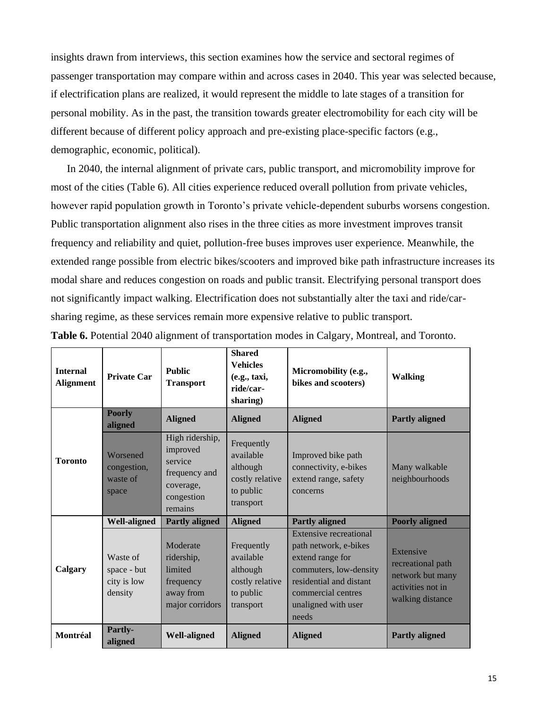insights drawn from interviews, this section examines how the service and sectoral regimes of passenger transportation may compare within and across cases in 2040. This year was selected because, if electrification plans are realized, it would represent the middle to late stages of a transition for personal mobility. As in the past, the transition towards greater electromobility for each city will be different because of different policy approach and pre-existing place-specific factors (e.g., demographic, economic, political).

In 2040, the internal alignment of private cars, public transport, and micromobility improve for most of the cities (Table 6). All cities experience reduced overall pollution from private vehicles, however rapid population growth in Toronto's private vehicle-dependent suburbs worsens congestion. Public transportation alignment also rises in the three cities as more investment improves transit frequency and reliability and quiet, pollution-free buses improves user experience. Meanwhile, the extended range possible from electric bikes/scooters and improved bike path infrastructure increases its modal share and reduces congestion on roads and public transit. Electrifying personal transport does not significantly impact walking. Electrification does not substantially alter the taxi and ride/carsharing regime, as these services remain more expensive relative to public transport.

| <b>Internal</b><br><b>Alignment</b> | <b>Private Car</b>                                | <b>Public</b><br><b>Transport</b>                                                             | <b>Shared</b><br><b>Vehicles</b><br>(e.g., taxi,<br>ride/car-<br>sharing)        | Micromobility (e.g.,<br>bikes and scooters)                                                                                                                                    | <b>Walking</b>                                                                              |
|-------------------------------------|---------------------------------------------------|-----------------------------------------------------------------------------------------------|----------------------------------------------------------------------------------|--------------------------------------------------------------------------------------------------------------------------------------------------------------------------------|---------------------------------------------------------------------------------------------|
|                                     | <b>Poorly</b><br>aligned                          | <b>Aligned</b>                                                                                | <b>Aligned</b>                                                                   | <b>Aligned</b>                                                                                                                                                                 | <b>Partly aligned</b>                                                                       |
| <b>Toronto</b>                      | Worsened<br>congestion,<br>waste of<br>space      | High ridership,<br>improved<br>service<br>frequency and<br>coverage,<br>congestion<br>remains | Frequently<br>available<br>although<br>costly relative<br>to public<br>transport | Improved bike path<br>connectivity, e-bikes<br>extend range, safety<br>concerns                                                                                                | Many walkable<br>neighbourhoods                                                             |
|                                     | <b>Well-aligned</b>                               | <b>Partly aligned</b>                                                                         | <b>Aligned</b>                                                                   | <b>Partly aligned</b>                                                                                                                                                          | <b>Poorly aligned</b>                                                                       |
| Calgary                             | Waste of<br>space - but<br>city is low<br>density | Moderate<br>ridership,<br>limited<br>frequency<br>away from<br>major corridors                | Frequently<br>available<br>although<br>costly relative<br>to public<br>transport | Extensive recreational<br>path network, e-bikes<br>extend range for<br>commuters, low-density<br>residential and distant<br>commercial centres<br>unaligned with user<br>needs | Extensive<br>recreational path<br>network but many<br>activities not in<br>walking distance |
| Montréal                            | <b>Partly-</b><br>aligned                         | <b>Well-aligned</b>                                                                           | <b>Aligned</b>                                                                   | <b>Aligned</b>                                                                                                                                                                 | <b>Partly aligned</b>                                                                       |

Table 6. Potential 2040 alignment of transportation modes in Calgary, Montreal, and Toronto.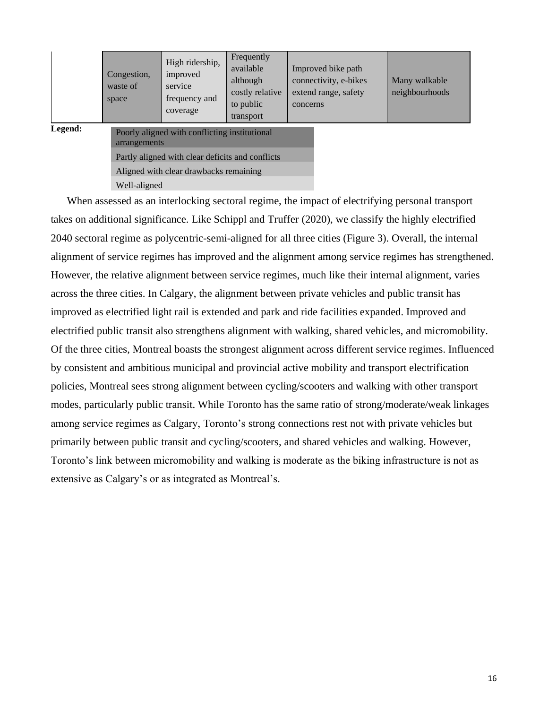|         | Congestion,<br>waste of<br>space | High ridership,<br>improved<br>service<br>frequency and<br>coverage | Frequently<br>available<br>although<br>costly relative<br>to public<br>transport | Improved bike path<br>connectivity, e-bikes<br>extend range, safety<br>concerns | Many walkable<br>neighbourhoods |
|---------|----------------------------------|---------------------------------------------------------------------|----------------------------------------------------------------------------------|---------------------------------------------------------------------------------|---------------------------------|
| Legend: | arrangements                     | Poorly aligned with conflicting institutional                       |                                                                                  |                                                                                 |                                 |
|         |                                  | Partly aligned with clear deficits and conflicts                    |                                                                                  |                                                                                 |                                 |
|         |                                  | Aligned with clear drawbacks remaining                              |                                                                                  |                                                                                 |                                 |
|         | Well-aligned                     |                                                                     |                                                                                  |                                                                                 |                                 |

When assessed as an interlocking sectoral regime, the impact of electrifying personal transport takes on additional significance. Like Schippl and Truffer (2020), we classify the highly electrified 2040 sectoral regime as polycentric-semi-aligned for all three cities (Figure 3). Overall, the internal alignment of service regimes has improved and the alignment among service regimes has strengthened. However, the relative alignment between service regimes, much like their internal alignment, varies across the three cities. In Calgary, the alignment between private vehicles and public transit has improved as electrified light rail is extended and park and ride facilities expanded. Improved and electrified public transit also strengthens alignment with walking, shared vehicles, and micromobility. Of the three cities, Montreal boasts the strongest alignment across different service regimes. Influenced by consistent and ambitious municipal and provincial active mobility and transport electrification policies, Montreal sees strong alignment between cycling/scooters and walking with other transport modes, particularly public transit. While Toronto has the same ratio of strong/moderate/weak linkages among service regimes as Calgary, Toronto's strong connections rest not with private vehicles but primarily between public transit and cycling/scooters, and shared vehicles and walking. However, Toronto's link between micromobility and walking is moderate as the biking infrastructure is not as extensive as Calgary's or as integrated as Montreal's.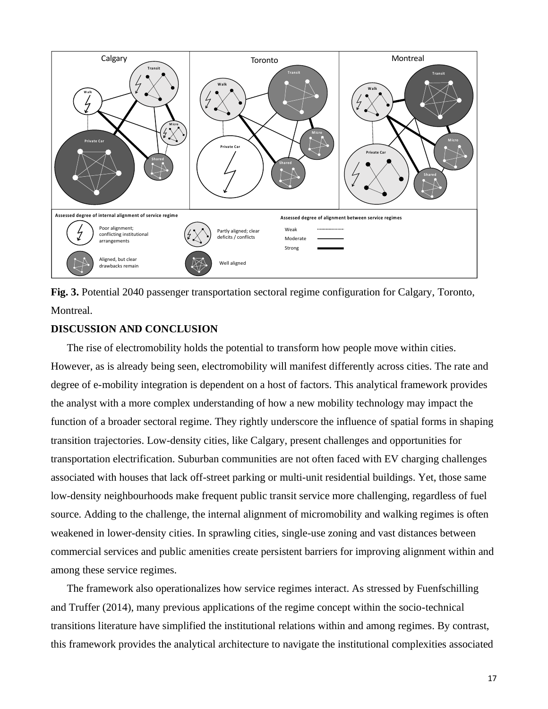

**Fig. 3.** Potential 2040 passenger transportation sectoral regime configuration for Calgary, Toronto, Montreal.

#### **DISCUSSION AND CONCLUSION**

The rise of electromobility holds the potential to transform how people move within cities. However, as is already being seen, electromobility will manifest differently across cities. The rate and degree of e-mobility integration is dependent on a host of factors. This analytical framework provides the analyst with a more complex understanding of how a new mobility technology may impact the function of a broader sectoral regime. They rightly underscore the influence of spatial forms in shaping transition trajectories. Low-density cities, like Calgary, present challenges and opportunities for transportation electrification. Suburban communities are not often faced with EV charging challenges associated with houses that lack off-street parking or multi-unit residential buildings. Yet, those same low-density neighbourhoods make frequent public transit service more challenging, regardless of fuel source. Adding to the challenge, the internal alignment of micromobility and walking regimes is often weakened in lower-density cities. In sprawling cities, single-use zoning and vast distances between commercial services and public amenities create persistent barriers for improving alignment within and among these service regimes.

The framework also operationalizes how service regimes interact. As stressed by Fuenfschilling and Truffer (2014), many previous applications of the regime concept within the socio-technical transitions literature have simplified the institutional relations within and among regimes. By contrast, this framework provides the analytical architecture to navigate the institutional complexities associated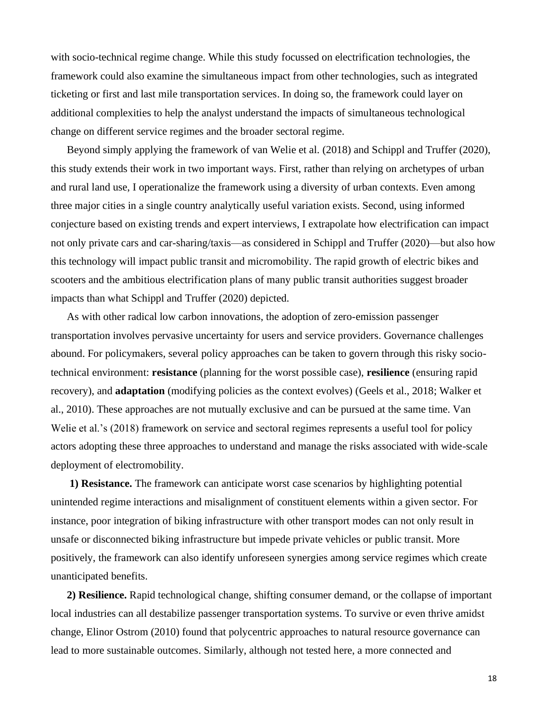with socio-technical regime change. While this study focussed on electrification technologies, the framework could also examine the simultaneous impact from other technologies, such as integrated ticketing or first and last mile transportation services. In doing so, the framework could layer on additional complexities to help the analyst understand the impacts of simultaneous technological change on different service regimes and the broader sectoral regime.

Beyond simply applying the framework of van Welie et al. (2018) and Schippl and Truffer (2020), this study extends their work in two important ways. First, rather than relying on archetypes of urban and rural land use, I operationalize the framework using a diversity of urban contexts. Even among three major cities in a single country analytically useful variation exists. Second, using informed conjecture based on existing trends and expert interviews, I extrapolate how electrification can impact not only private cars and car-sharing/taxis—as considered in Schippl and Truffer (2020)—but also how this technology will impact public transit and micromobility. The rapid growth of electric bikes and scooters and the ambitious electrification plans of many public transit authorities suggest broader impacts than what Schippl and Truffer (2020) depicted.

As with other radical low carbon innovations, the adoption of zero-emission passenger transportation involves pervasive uncertainty for users and service providers. Governance challenges abound. For policymakers, several policy approaches can be taken to govern through this risky sociotechnical environment: **resistance** (planning for the worst possible case), **resilience** (ensuring rapid recovery), and **adaptation** (modifying policies as the context evolves) (Geels et al., 2018; Walker et al., 2010). These approaches are not mutually exclusive and can be pursued at the same time. Van Welie et al.'s (2018) framework on service and sectoral regimes represents a useful tool for policy actors adopting these three approaches to understand and manage the risks associated with wide-scale deployment of electromobility.

**1) Resistance.** The framework can anticipate worst case scenarios by highlighting potential unintended regime interactions and misalignment of constituent elements within a given sector. For instance, poor integration of biking infrastructure with other transport modes can not only result in unsafe or disconnected biking infrastructure but impede private vehicles or public transit. More positively, the framework can also identify unforeseen synergies among service regimes which create unanticipated benefits.

**2) Resilience.** Rapid technological change, shifting consumer demand, or the collapse of important local industries can all destabilize passenger transportation systems. To survive or even thrive amidst change, Elinor Ostrom (2010) found that polycentric approaches to natural resource governance can lead to more sustainable outcomes. Similarly, although not tested here, a more connected and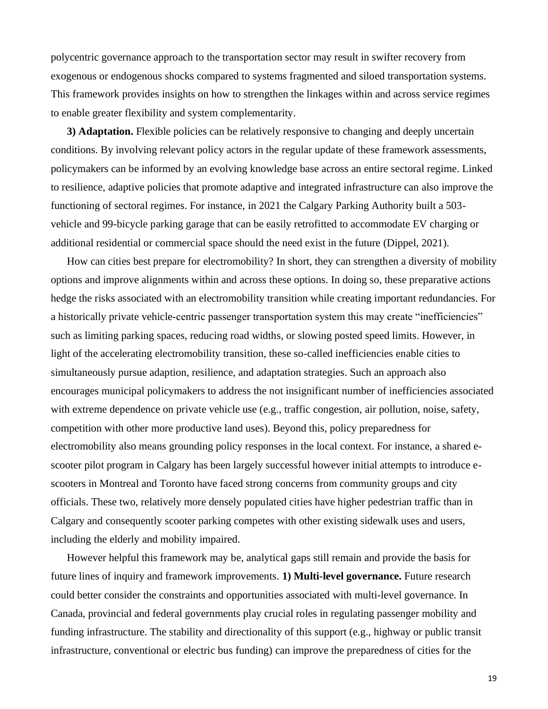polycentric governance approach to the transportation sector may result in swifter recovery from exogenous or endogenous shocks compared to systems fragmented and siloed transportation systems. This framework provides insights on how to strengthen the linkages within and across service regimes to enable greater flexibility and system complementarity.

**3) Adaptation.** Flexible policies can be relatively responsive to changing and deeply uncertain conditions. By involving relevant policy actors in the regular update of these framework assessments, policymakers can be informed by an evolving knowledge base across an entire sectoral regime. Linked to resilience, adaptive policies that promote adaptive and integrated infrastructure can also improve the functioning of sectoral regimes. For instance, in 2021 the Calgary Parking Authority built a 503 vehicle and 99-bicycle parking garage that can be easily retrofitted to accommodate EV charging or additional residential or commercial space should the need exist in the future (Dippel, 2021).

How can cities best prepare for electromobility? In short, they can strengthen a diversity of mobility options and improve alignments within and across these options. In doing so, these preparative actions hedge the risks associated with an electromobility transition while creating important redundancies. For a historically private vehicle-centric passenger transportation system this may create "inefficiencies" such as limiting parking spaces, reducing road widths, or slowing posted speed limits. However, in light of the accelerating electromobility transition, these so-called inefficiencies enable cities to simultaneously pursue adaption, resilience, and adaptation strategies. Such an approach also encourages municipal policymakers to address the not insignificant number of inefficiencies associated with extreme dependence on private vehicle use (e.g., traffic congestion, air pollution, noise, safety, competition with other more productive land uses). Beyond this, policy preparedness for electromobility also means grounding policy responses in the local context. For instance, a shared escooter pilot program in Calgary has been largely successful however initial attempts to introduce escooters in Montreal and Toronto have faced strong concerns from community groups and city officials. These two, relatively more densely populated cities have higher pedestrian traffic than in Calgary and consequently scooter parking competes with other existing sidewalk uses and users, including the elderly and mobility impaired.

However helpful this framework may be, analytical gaps still remain and provide the basis for future lines of inquiry and framework improvements. **1) Multi-level governance.** Future research could better consider the constraints and opportunities associated with multi-level governance. In Canada, provincial and federal governments play crucial roles in regulating passenger mobility and funding infrastructure. The stability and directionality of this support (e.g., highway or public transit infrastructure, conventional or electric bus funding) can improve the preparedness of cities for the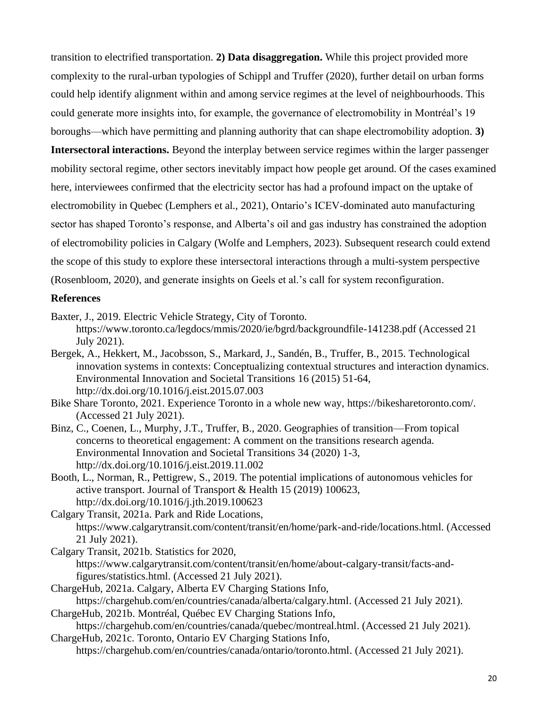transition to electrified transportation. **2) Data disaggregation.** While this project provided more complexity to the rural-urban typologies of Schippl and Truffer (2020), further detail on urban forms could help identify alignment within and among service regimes at the level of neighbourhoods. This could generate more insights into, for example, the governance of electromobility in Montréal's 19 boroughs—which have permitting and planning authority that can shape electromobility adoption. **3)** 

**Intersectoral interactions.** Beyond the interplay between service regimes within the larger passenger mobility sectoral regime, other sectors inevitably impact how people get around. Of the cases examined here, interviewees confirmed that the electricity sector has had a profound impact on the uptake of electromobility in Quebec (Lemphers et al., 2021), Ontario's ICEV-dominated auto manufacturing sector has shaped Toronto's response, and Alberta's oil and gas industry has constrained the adoption of electromobility policies in Calgary (Wolfe and Lemphers, 2023). Subsequent research could extend the scope of this study to explore these intersectoral interactions through a multi-system perspective (Rosenbloom, 2020), and generate insights on Geels et al.'s call for system reconfiguration.

#### **References**

Baxter, J., 2019. Electric Vehicle Strategy, City of Toronto.

- <https://www.toronto.ca/legdocs/mmis/2020/ie/bgrd/backgroundfile-141238.pdf> (Accessed 21 July 2021).
- Bergek, A., Hekkert, M., Jacobsson, S., Markard, J., Sandén, B., Truffer, B., 2015. Technological innovation systems in contexts: Conceptualizing contextual structures and interaction dynamics. Environmental Innovation and Societal Transitions 16 (2015) 51-64, <http://dx.doi.org/10.1016/j.eist.2015.07.003>
- Bike Share Toronto, 2021. Experience Toronto in a whole new way, [https://bikesharetoronto.com/.](https://bikesharetoronto.com/) (Accessed 21 July 2021).
- Binz, C., Coenen, L., Murphy, J.T., Truffer, B., 2020. Geographies of transition—From topical concerns to theoretical engagement: A comment on the transitions research agenda. Environmental Innovation and Societal Transitions 34 (2020) 1-3, <http://dx.doi.org/10.1016/j.eist.2019.11.002>
- Booth, L., Norman, R., Pettigrew, S., 2019. The potential implications of autonomous vehicles for active transport. Journal of Transport & Health 15 (2019) 100623, <http://dx.doi.org/10.1016/j.jth.2019.100623>

Calgary Transit, 2021a. Park and Ride Locations, [https://www.calgarytransit.com/content/transit/en/home/park-and-ride/locations.html.](https://www.calgarytransit.com/content/transit/en/home/park-and-ride/locations.html) (Accessed 21 July 2021).

- Calgary Transit, 2021b. Statistics for 2020, [https://www.calgarytransit.com/content/transit/en/home/about-calgary-transit/facts-and](https://www.calgarytransit.com/content/transit/en/home/about-calgary-transit/facts-and-figures/statistics.html)[figures/statistics.html.](https://www.calgarytransit.com/content/transit/en/home/about-calgary-transit/facts-and-figures/statistics.html) (Accessed 21 July 2021).
- ChargeHub, 2021a. Calgary, Alberta EV Charging Stations Info, [https://chargehub.com/en/countries/canada/alberta/calgary.html.](https://chargehub.com/en/countries/canada/alberta/calgary.html) (Accessed 21 July 2021).
- ChargeHub, 2021b. Montréal, Québec EV Charging Stations Info, [https://chargehub.com/en/countries/canada/quebec/montreal.html.](https://chargehub.com/en/countries/canada/quebec/montreal.html) (Accessed 21 July 2021).
- ChargeHub, 2021c. Toronto, Ontario EV Charging Stations Info, [https://chargehub.com/en/countries/canada/ontario/toronto.html.](https://chargehub.com/en/countries/canada/ontario/toronto.html) (Accessed 21 July 2021).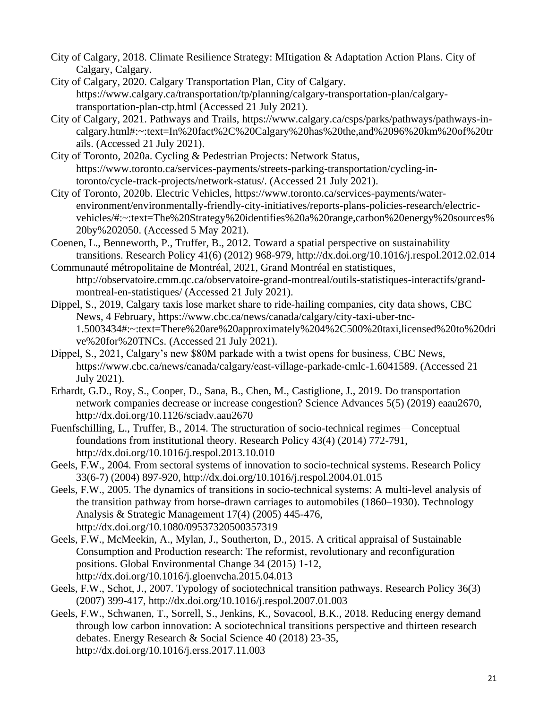- City of Calgary, 2018. Climate Resilience Strategy: MItigation & Adaptation Action Plans. City of Calgary, Calgary.
- City of Calgary, 2020. Calgary Transportation Plan, City of Calgary. [https://www.calgary.ca/transportation/tp/planning/calgary-transportation-plan/calgary](https://www.calgary.ca/transportation/tp/planning/calgary-transportation-plan/calgary-transportation-plan-ctp.html)[transportation-plan-ctp.html](https://www.calgary.ca/transportation/tp/planning/calgary-transportation-plan/calgary-transportation-plan-ctp.html) (Accessed 21 July 2021).
- City of Calgary, 2021. Pathways and Trails, [https://www.calgary.ca/csps/parks/pathways/pathways-in](https://www.calgary.ca/csps/parks/pathways/pathways-in-calgary.html#:~:text=In%20fact%2C%20Calgary%20has%20the,and%2096%20km%20of%20trails)[calgary.html#:~:text=In%20fact%2C%20Calgary%20has%20the,and%2096%20km%20of%20tr](https://www.calgary.ca/csps/parks/pathways/pathways-in-calgary.html#:~:text=In%20fact%2C%20Calgary%20has%20the,and%2096%20km%20of%20trails) [ails.](https://www.calgary.ca/csps/parks/pathways/pathways-in-calgary.html#:~:text=In%20fact%2C%20Calgary%20has%20the,and%2096%20km%20of%20trails) (Accessed 21 July 2021).
- City of Toronto, 2020a. Cycling & Pedestrian Projects: Network Status, [https://www.toronto.ca/services-payments/streets-parking-transportation/cycling-in](https://www.toronto.ca/services-payments/streets-parking-transportation/cycling-in-toronto/cycle-track-projects/network-status/)[toronto/cycle-track-projects/network-status/.](https://www.toronto.ca/services-payments/streets-parking-transportation/cycling-in-toronto/cycle-track-projects/network-status/) (Accessed 21 July 2021).
- City of Toronto, 2020b. Electric Vehicles, [https://www.toronto.ca/services-payments/water](https://www.toronto.ca/services-payments/water-environment/environmentally-friendly-city-initiatives/reports-plans-policies-research/electric-vehicles/#:~:text=The%20Strategy%20identifies%20a%20range,carbon%20energy%20sources%20by%202050)[environment/environmentally-friendly-city-initiatives/reports-plans-policies-research/electric](https://www.toronto.ca/services-payments/water-environment/environmentally-friendly-city-initiatives/reports-plans-policies-research/electric-vehicles/#:~:text=The%20Strategy%20identifies%20a%20range,carbon%20energy%20sources%20by%202050)[vehicles/#:~:text=The%20Strategy%20identifies%20a%20range,carbon%20energy%20sources%](https://www.toronto.ca/services-payments/water-environment/environmentally-friendly-city-initiatives/reports-plans-policies-research/electric-vehicles/#:~:text=The%20Strategy%20identifies%20a%20range,carbon%20energy%20sources%20by%202050) [20by%202050.](https://www.toronto.ca/services-payments/water-environment/environmentally-friendly-city-initiatives/reports-plans-policies-research/electric-vehicles/#:~:text=The%20Strategy%20identifies%20a%20range,carbon%20energy%20sources%20by%202050) (Accessed 5 May 2021).
- Coenen, L., Benneworth, P., Truffer, B., 2012. Toward a spatial perspective on sustainability transitions. Research Policy 41(6) (2012) 968-979,<http://dx.doi.org/10.1016/j.respol.2012.02.014>
- Communauté métropolitaine de Montréal, 2021, Grand Montréal en statistiques, [http://observatoire.cmm.qc.ca/observatoire-grand-montreal/outils-statistiques-interactifs/grand](http://observatoire.cmm.qc.ca/observatoire-grand-montreal/outils-statistiques-interactifs/grand-montreal-en-statistiques/)[montreal-en-statistiques/](http://observatoire.cmm.qc.ca/observatoire-grand-montreal/outils-statistiques-interactifs/grand-montreal-en-statistiques/) (Accessed 21 July 2021).
- Dippel, S., 2019, Calgary taxis lose market share to ride-hailing companies, city data shows, CBC News, 4 February, [https://www.cbc.ca/news/canada/calgary/city-taxi-uber-tnc-](https://www.cbc.ca/news/canada/calgary/city-taxi-uber-tnc-1.5003434#:~:text=There%20are%20approximately%204%2C500%20taxi,licensed%20to%20drive%20for%20TNCs)[1.5003434#:~:text=There%20are%20approximately%204%2C500%20taxi,licensed%20to%20dri](https://www.cbc.ca/news/canada/calgary/city-taxi-uber-tnc-1.5003434#:~:text=There%20are%20approximately%204%2C500%20taxi,licensed%20to%20drive%20for%20TNCs) [ve%20for%20TNCs.](https://www.cbc.ca/news/canada/calgary/city-taxi-uber-tnc-1.5003434#:~:text=There%20are%20approximately%204%2C500%20taxi,licensed%20to%20drive%20for%20TNCs) (Accessed 21 July 2021).
- Dippel, S., 2021, Calgary's new \$80M parkade with a twist opens for business, CBC News, [https://www.cbc.ca/news/canada/calgary/east-village-parkade-cmlc-1.6041589.](https://www.cbc.ca/news/canada/calgary/east-village-parkade-cmlc-1.6041589) (Accessed 21 July 2021).
- Erhardt, G.D., Roy, S., Cooper, D., Sana, B., Chen, M., Castiglione, J., 2019. Do transportation network companies decrease or increase congestion? Science Advances 5(5) (2019) eaau2670, <http://dx.doi.org/10.1126/sciadv.aau2670>
- Fuenfschilling, L., Truffer, B., 2014. The structuration of socio-technical regimes—Conceptual foundations from institutional theory. Research Policy 43(4) (2014) 772-791, <http://dx.doi.org/10.1016/j.respol.2013.10.010>
- Geels, F.W., 2004. From sectoral systems of innovation to socio-technical systems. Research Policy 33(6-7) (2004) 897-920,<http://dx.doi.org/10.1016/j.respol.2004.01.015>
- Geels, F.W., 2005. The dynamics of transitions in socio-technical systems: A multi-level analysis of the transition pathway from horse-drawn carriages to automobiles (1860–1930). Technology Analysis & Strategic Management 17(4) (2005) 445-476, <http://dx.doi.org/10.1080/09537320500357319>
- Geels, F.W., McMeekin, A., Mylan, J., Southerton, D., 2015. A critical appraisal of Sustainable Consumption and Production research: The reformist, revolutionary and reconfiguration positions. Global Environmental Change 34 (2015) 1-12, <http://dx.doi.org/10.1016/j.gloenvcha.2015.04.013>
- Geels, F.W., Schot, J., 2007. Typology of sociotechnical transition pathways. Research Policy 36(3) (2007) 399-417,<http://dx.doi.org/10.1016/j.respol.2007.01.003>
- Geels, F.W., Schwanen, T., Sorrell, S., Jenkins, K., Sovacool, B.K., 2018. Reducing energy demand through low carbon innovation: A sociotechnical transitions perspective and thirteen research debates. Energy Research & Social Science 40 (2018) 23-35, <http://dx.doi.org/10.1016/j.erss.2017.11.003>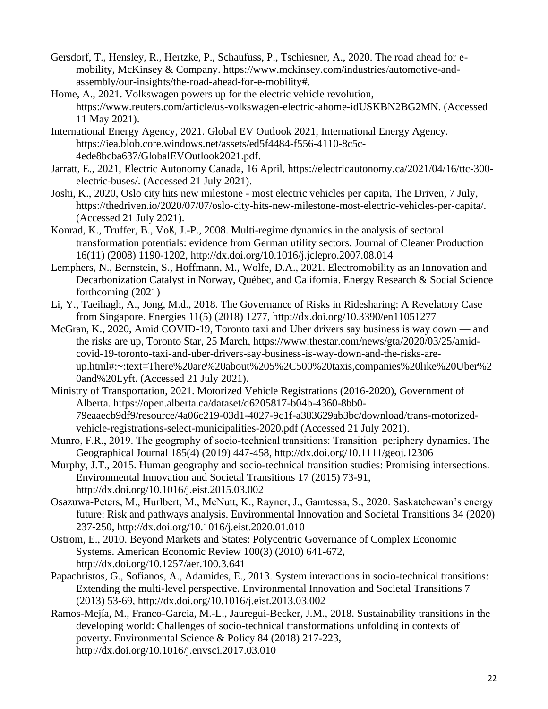- Gersdorf, T., Hensley, R., Hertzke, P., Schaufuss, P., Tschiesner, A., 2020. The road ahead for emobility, McKinsey & Company. [https://www.mckinsey.com/industries/automotive-and](https://www.mckinsey.com/industries/automotive-and-assembly/our-insights/the-road-ahead-for-e-mobility)[assembly/our-insights/the-road-ahead-for-e-mobility#.](https://www.mckinsey.com/industries/automotive-and-assembly/our-insights/the-road-ahead-for-e-mobility)
- Home, A., 2021. Volkswagen powers up for the electric vehicle revolution, [https://www.reuters.com/article/us-volkswagen-electric-ahome-idUSKBN2BG2MN.](https://www.reuters.com/article/us-volkswagen-electric-ahome-idUSKBN2BG2MN) (Accessed 11 May 2021).
- International Energy Agency, 2021. Global EV Outlook 2021, International Energy Agency. [https://iea.blob.core.windows.net/assets/ed5f4484-f556-4110-8c5c-](https://iea.blob.core.windows.net/assets/ed5f4484-f556-4110-8c5c-4ede8bcba637/GlobalEVOutlook2021.pdf)[4ede8bcba637/GlobalEVOutlook2021.pdf.](https://iea.blob.core.windows.net/assets/ed5f4484-f556-4110-8c5c-4ede8bcba637/GlobalEVOutlook2021.pdf)
- Jarratt, E., 2021, Electric Autonomy Canada, 16 April, [https://electricautonomy.ca/2021/04/16/ttc-300](https://electricautonomy.ca/2021/04/16/ttc-300-electric-buses/) [electric-buses/.](https://electricautonomy.ca/2021/04/16/ttc-300-electric-buses/) (Accessed 21 July 2021).
- Joshi, K., 2020, Oslo city hits new milestone most electric vehicles per capita, The Driven, 7 July, [https://thedriven.io/2020/07/07/oslo-city-hits-new-milestone-most-electric-vehicles-per-capita/.](https://thedriven.io/2020/07/07/oslo-city-hits-new-milestone-most-electric-vehicles-per-capita/) (Accessed 21 July 2021).
- Konrad, K., Truffer, B., Voß, J.-P., 2008. Multi-regime dynamics in the analysis of sectoral transformation potentials: evidence from German utility sectors. Journal of Cleaner Production 16(11) (2008) 1190-1202,<http://dx.doi.org/10.1016/j.jclepro.2007.08.014>
- Lemphers, N., Bernstein, S., Hoffmann, M., Wolfe, D.A., 2021. Electromobility as an Innovation and Decarbonization Catalyst in Norway, Québec, and California. Energy Research & Social Science forthcoming (2021)
- Li, Y., Taeihagh, A., Jong, M.d., 2018. The Governance of Risks in Ridesharing: A Revelatory Case from Singapore. Energies 11(5) (2018) 1277,<http://dx.doi.org/10.3390/en11051277>
- McGran, K., 2020, Amid COVID-19, Toronto taxi and Uber drivers say business is way down and the risks are up, Toronto Star, 25 March, [https://www.thestar.com/news/gta/2020/03/25/amid](https://www.thestar.com/news/gta/2020/03/25/amid-covid-19-toronto-taxi-and-uber-drivers-say-business-is-way-down-and-the-risks-are-up.html#:~:text=There%20are%20about%205%2C500%20taxis,companies%20like%20Uber%20and%20Lyft)[covid-19-toronto-taxi-and-uber-drivers-say-business-is-way-down-and-the-risks-are](https://www.thestar.com/news/gta/2020/03/25/amid-covid-19-toronto-taxi-and-uber-drivers-say-business-is-way-down-and-the-risks-are-up.html#:~:text=There%20are%20about%205%2C500%20taxis,companies%20like%20Uber%20and%20Lyft)[up.html#:~:text=There%20are%20about%205%2C500%20taxis,companies%20like%20Uber%2](https://www.thestar.com/news/gta/2020/03/25/amid-covid-19-toronto-taxi-and-uber-drivers-say-business-is-way-down-and-the-risks-are-up.html#:~:text=There%20are%20about%205%2C500%20taxis,companies%20like%20Uber%20and%20Lyft) [0and%20Lyft.](https://www.thestar.com/news/gta/2020/03/25/amid-covid-19-toronto-taxi-and-uber-drivers-say-business-is-way-down-and-the-risks-are-up.html#:~:text=There%20are%20about%205%2C500%20taxis,companies%20like%20Uber%20and%20Lyft) (Accessed 21 July 2021).
- Ministry of Transportation, 2021. Motorized Vehicle Registrations (2016-2020), Government of Alberta. [https://open.alberta.ca/dataset/d6205817-b04b-4360-8bb0-](https://open.alberta.ca/dataset/d6205817-b04b-4360-8bb0-79eaaecb9df9/resource/4a06c219-03d1-4027-9c1f-a383629ab3bc/download/trans-motorized-vehicle-registrations-select-municipalities-2020.pdf) [79eaaecb9df9/resource/4a06c219-03d1-4027-9c1f-a383629ab3bc/download/trans-motorized](https://open.alberta.ca/dataset/d6205817-b04b-4360-8bb0-79eaaecb9df9/resource/4a06c219-03d1-4027-9c1f-a383629ab3bc/download/trans-motorized-vehicle-registrations-select-municipalities-2020.pdf)[vehicle-registrations-select-municipalities-2020.pdf](https://open.alberta.ca/dataset/d6205817-b04b-4360-8bb0-79eaaecb9df9/resource/4a06c219-03d1-4027-9c1f-a383629ab3bc/download/trans-motorized-vehicle-registrations-select-municipalities-2020.pdf) (Accessed 21 July 2021).
- Munro, F.R., 2019. The geography of socio-technical transitions: Transition–periphery dynamics. The Geographical Journal 185(4) (2019) 447-458,<http://dx.doi.org/10.1111/geoj.12306>
- Murphy, J.T., 2015. Human geography and socio-technical transition studies: Promising intersections. Environmental Innovation and Societal Transitions 17 (2015) 73-91, <http://dx.doi.org/10.1016/j.eist.2015.03.002>
- Osazuwa-Peters, M., Hurlbert, M., McNutt, K., Rayner, J., Gamtessa, S., 2020. Saskatchewan's energy future: Risk and pathways analysis. Environmental Innovation and Societal Transitions 34 (2020) 237-250,<http://dx.doi.org/10.1016/j.eist.2020.01.010>
- Ostrom, E., 2010. Beyond Markets and States: Polycentric Governance of Complex Economic Systems. American Economic Review 100(3) (2010) 641-672, <http://dx.doi.org/10.1257/aer.100.3.641>
- Papachristos, G., Sofianos, A., Adamides, E., 2013. System interactions in socio-technical transitions: Extending the multi-level perspective. Environmental Innovation and Societal Transitions 7 (2013) 53-69,<http://dx.doi.org/10.1016/j.eist.2013.03.002>
- Ramos-Mejía, M., Franco-Garcia, M.-L., Jauregui-Becker, J.M., 2018. Sustainability transitions in the developing world: Challenges of socio-technical transformations unfolding in contexts of poverty. Environmental Science & Policy 84 (2018) 217-223, <http://dx.doi.org/10.1016/j.envsci.2017.03.010>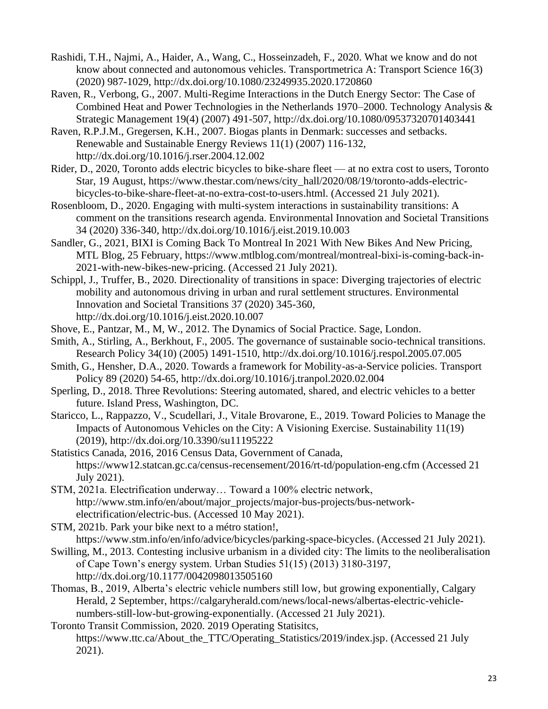- Rashidi, T.H., Najmi, A., Haider, A., Wang, C., Hosseinzadeh, F., 2020. What we know and do not know about connected and autonomous vehicles. Transportmetrica A: Transport Science 16(3) (2020) 987-1029,<http://dx.doi.org/10.1080/23249935.2020.1720860>
- Raven, R., Verbong, G., 2007. Multi-Regime Interactions in the Dutch Energy Sector: The Case of Combined Heat and Power Technologies in the Netherlands 1970–2000. Technology Analysis & Strategic Management 19(4) (2007) 491-507,<http://dx.doi.org/10.1080/09537320701403441>
- Raven, R.P.J.M., Gregersen, K.H., 2007. Biogas plants in Denmark: successes and setbacks. Renewable and Sustainable Energy Reviews 11(1) (2007) 116-132, <http://dx.doi.org/10.1016/j.rser.2004.12.002>
- Rider, D., 2020, Toronto adds electric bicycles to bike-share fleet at no extra cost to users, Toronto Star, 19 August, [https://www.thestar.com/news/city\\_hall/2020/08/19/toronto-adds-electric](https://www.thestar.com/news/city_hall/2020/08/19/toronto-adds-electric-bicycles-to-bike-share-fleet-at-no-extra-cost-to-users.html)[bicycles-to-bike-share-fleet-at-no-extra-cost-to-users.html.](https://www.thestar.com/news/city_hall/2020/08/19/toronto-adds-electric-bicycles-to-bike-share-fleet-at-no-extra-cost-to-users.html) (Accessed 21 July 2021).
- Rosenbloom, D., 2020. Engaging with multi-system interactions in sustainability transitions: A comment on the transitions research agenda. Environmental Innovation and Societal Transitions 34 (2020) 336-340,<http://dx.doi.org/10.1016/j.eist.2019.10.003>
- Sandler, G., 2021, BIXI is Coming Back To Montreal In 2021 With New Bikes And New Pricing, MTL Blog, 25 February, [https://www.mtlblog.com/montreal/montreal-bixi-is-coming-back-in-](https://www.mtlblog.com/montreal/montreal-bixi-is-coming-back-in-2021-with-new-bikes-new-pricing)[2021-with-new-bikes-new-pricing.](https://www.mtlblog.com/montreal/montreal-bixi-is-coming-back-in-2021-with-new-bikes-new-pricing) (Accessed 21 July 2021).
- Schippl, J., Truffer, B., 2020. Directionality of transitions in space: Diverging trajectories of electric mobility and autonomous driving in urban and rural settlement structures. Environmental Innovation and Societal Transitions 37 (2020) 345-360, <http://dx.doi.org/10.1016/j.eist.2020.10.007>
- Shove, E., Pantzar, M., M, W., 2012. The Dynamics of Social Practice. Sage, London.
- Smith, A., Stirling, A., Berkhout, F., 2005. The governance of sustainable socio-technical transitions. Research Policy 34(10) (2005) 1491-1510,<http://dx.doi.org/10.1016/j.respol.2005.07.005>
- Smith, G., Hensher, D.A., 2020. Towards a framework for Mobility-as-a-Service policies. Transport Policy 89 (2020) 54-65,<http://dx.doi.org/10.1016/j.tranpol.2020.02.004>
- Sperling, D., 2018. Three Revolutions: Steering automated, shared, and electric vehicles to a better future. Island Press, Washington, DC.
- Staricco, L., Rappazzo, V., Scudellari, J., Vitale Brovarone, E., 2019. Toward Policies to Manage the Impacts of Autonomous Vehicles on the City: A Visioning Exercise. Sustainability 11(19) (2019),<http://dx.doi.org/10.3390/su11195222>
- Statistics Canada, 2016, 2016 Census Data, Government of Canada, <https://www12.statcan.gc.ca/census-recensement/2016/rt-td/population-eng.cfm> (Accessed 21 July 2021).
- STM, 2021a. Electrification underway… Toward a 100% electric network, [http://www.stm.info/en/about/major\\_projects/major-bus-projects/bus-network](http://www.stm.info/en/about/major_projects/major-bus-projects/bus-network-electrification/electric-bus)[electrification/electric-bus.](http://www.stm.info/en/about/major_projects/major-bus-projects/bus-network-electrification/electric-bus) (Accessed 10 May 2021).

STM, 2021b. Park your bike next to a métro station!, [https://www.stm.info/en/info/advice/bicycles/parking-space-bicycles.](https://www.stm.info/en/info/advice/bicycles/parking-space-bicycles) (Accessed 21 July 2021).

- Swilling, M., 2013. Contesting inclusive urbanism in a divided city: The limits to the neoliberalisation of Cape Town's energy system. Urban Studies 51(15) (2013) 3180-3197, <http://dx.doi.org/10.1177/0042098013505160>
- Thomas, B., 2019, Alberta's electric vehicle numbers still low, but growing exponentially, Calgary Herald, 2 September, [https://calgaryherald.com/news/local-news/albertas-electric-vehicle](https://calgaryherald.com/news/local-news/albertas-electric-vehicle-numbers-still-low-but-growing-exponentially)[numbers-still-low-but-growing-exponentially.](https://calgaryherald.com/news/local-news/albertas-electric-vehicle-numbers-still-low-but-growing-exponentially) (Accessed 21 July 2021).

Toronto Transit Commission, 2020. 2019 Operating Statisitcs, [https://www.ttc.ca/About\\_the\\_TTC/Operating\\_Statistics/2019/index.jsp.](https://www.ttc.ca/About_the_TTC/Operating_Statistics/2019/index.jsp) (Accessed 21 July 2021).